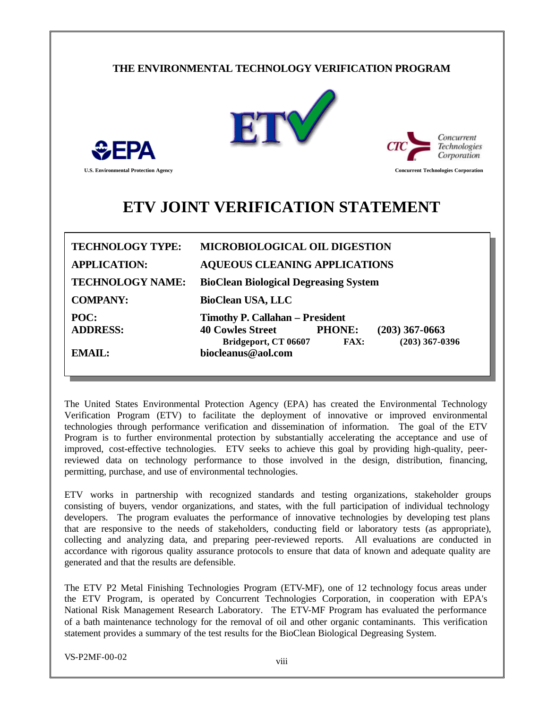## **THE ENVIRONMENTAL TECHNOLOGY VERIFICATION PROGRAM**





**U.S. Environmental Protection Agency Concurrent Technologies Corporation**

# **ETV JOINT VERIFICATION STATEMENT**

| <b>TECHNOLOGY TYPE:</b> | <b>MICROBIOLOGICAL OIL DIGESTION</b>                                                                                                                              |  |  |  |
|-------------------------|-------------------------------------------------------------------------------------------------------------------------------------------------------------------|--|--|--|
| <b>APPLICATION:</b>     | <b>AQUEOUS CLEANING APPLICATIONS</b>                                                                                                                              |  |  |  |
| <b>TECHNOLOGY NAME:</b> | <b>BioClean Biological Degreasing System</b>                                                                                                                      |  |  |  |
| <b>COMPANY:</b>         | <b>BioClean USA, LLC</b>                                                                                                                                          |  |  |  |
| POC:<br><b>ADDRESS:</b> | <b>Timothy P. Callahan - President</b><br><b>40 Cowles Street</b><br><b>PHONE:</b><br>$(203)$ 367-0663<br>$(203)$ 367-0396<br><b>FAX:</b><br>Bridgeport, CT 06607 |  |  |  |
| EMAIL:                  | biocleanus@aol.com                                                                                                                                                |  |  |  |

The United States Environmental Protection Agency (EPA) has created the Environmental Technology Verification Program (ETV) to facilitate the deployment of innovative or improved environmental technologies through performance verification and dissemination of information. The goal of the ETV Program is to further environmental protection by substantially accelerating the acceptance and use of improved, cost-effective technologies. ETV seeks to achieve this goal by providing high-quality, peerreviewed data on technology performance to those involved in the design, distribution, financing, permitting, purchase, and use of environmental technologies.

ETV works in partnership with recognized standards and testing organizations, stakeholder groups consisting of buyers, vendor organizations, and states, with the full participation of individual technology developers. The program evaluates the performance of innovative technologies by developing test plans that are responsive to the needs of stakeholders, conducting field or laboratory tests (as appropriate), collecting and analyzing data, and preparing peer-reviewed reports. All evaluations are conducted in accordance with rigorous quality assurance protocols to ensure that data of known and adequate quality are generated and that the results are defensible.

The ETV P2 Metal Finishing Technologies Program (ETV-MF), one of 12 technology focus areas under the ETV Program, is operated by Concurrent Technologies Corporation, in cooperation with EPA's National Risk Management Research Laboratory. The ETV-MF Program has evaluated the performance of a bath maintenance technology for the removal of oil and other organic contaminants. This verification statement provides a summary of the test results for the BioClean Biological Degreasing System.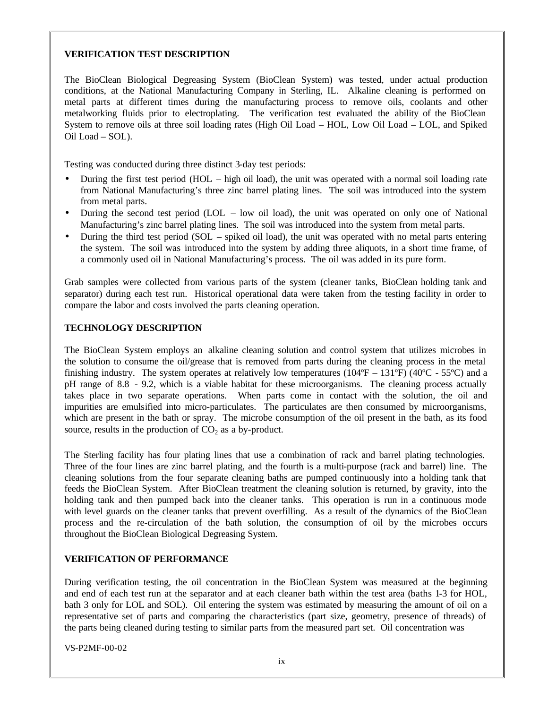## **VERIFICATION TEST DESCRIPTION**

The BioClean Biological Degreasing System (BioClean System) was tested, under actual production conditions, at the National Manufacturing Company in Sterling, IL. Alkaline cleaning is performed on metal parts at different times during the manufacturing process to remove oils, coolants and other metalworking fluids prior to electroplating. The verification test evaluated the ability of the BioClean System to remove oils at three soil loading rates (High Oil Load – HOL, Low Oil Load – LOL, and Spiked Oil Load – SOL).

Testing was conducted during three distinct 3-day test periods:

- During the first test period (HOL high oil load), the unit was operated with a normal soil loading rate from National Manufacturing's three zinc barrel plating lines. The soil was introduced into the system from metal parts.
- During the second test period (LOL low oil load), the unit was operated on only one of National Manufacturing's zinc barrel plating lines. The soil was introduced into the system from metal parts.
- During the third test period (SOL spiked oil load), the unit was operated with no metal parts entering the system. The soil was introduced into the system by adding three aliquots, in a short time frame, of a commonly used oil in National Manufacturing's process. The oil was added in its pure form.

Grab samples were collected from various parts of the system (cleaner tanks, BioClean holding tank and separator) during each test run. Historical operational data were taken from the testing facility in order to compare the labor and costs involved the parts cleaning operation.

#### **TECHNOLOGY DESCRIPTION**

The BioClean System employs an alkaline cleaning solution and control system that utilizes microbes in the solution to consume the oil/grease that is removed from parts during the cleaning process in the metal finishing industry. The system operates at relatively low temperatures ( $104^{\circ}F - 131^{\circ}F$ ) ( $40^{\circ}C - 55^{\circ}C$ ) and a pH range of 8.8 - 9.2, which is a viable habitat for these microorganisms. The cleaning process actually takes place in two separate operations. When parts come in contact with the solution, the oil and impurities are emulsified into micro-particulates. The particulates are then consumed by microorganisms, which are present in the bath or spray. The microbe consumption of the oil present in the bath, as its food source, results in the production of  $CO<sub>2</sub>$  as a by-product.

The Sterling facility has four plating lines that use a combination of rack and barrel plating technologies. Three of the four lines are zinc barrel plating, and the fourth is a multi-purpose (rack and barrel) line. The cleaning solutions from the four separate cleaning baths are pumped continuously into a holding tank that feeds the BioClean System. After BioClean treatment the cleaning solution is returned, by gravity, into the holding tank and then pumped back into the cleaner tanks. This operation is run in a continuous mode with level guards on the cleaner tanks that prevent overfilling. As a result of the dynamics of the BioClean process and the re-circulation of the bath solution, the consumption of oil by the microbes occurs throughout the BioClean Biological Degreasing System.

#### **VERIFICATION OF PERFORMANCE**

During verification testing, the oil concentration in the BioClean System was measured at the beginning and end of each test run at the separator and at each cleaner bath within the test area (baths 1-3 for HOL, bath 3 only for LOL and SOL). Oil entering the system was estimated by measuring the amount of oil on a representative set of parts and comparing the characteristics (part size, geometry, presence of threads) of the parts being cleaned during testing to similar parts from the measured part set. Oil concentration was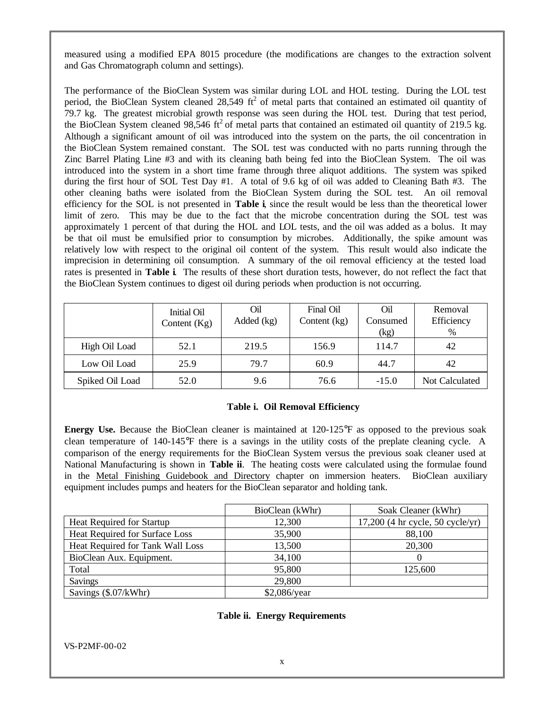measured using a modified EPA 8015 procedure (the modifications are changes to the extraction solvent and Gas Chromatograph column and settings).

The performance of the BioClean System was similar during LOL and HOL testing. During the LOL test period, the BioClean System cleaned  $28,549 \text{ ft}^2$  of metal parts that contained an estimated oil quantity of 79.7 kg. The greatest microbial growth response was seen during the HOL test. During that test period, the BioClean System cleaned 98,546 ft<sup>2</sup> of metal parts that contained an estimated oil quantity of 219.5 kg. Although a significant amount of oil was introduced into the system on the parts, the oil concentration in the BioClean System remained constant. The SOL test was conducted with no parts running through the Zinc Barrel Plating Line #3 and with its cleaning bath being fed into the BioClean System. The oil was introduced into the system in a short time frame through three aliquot additions. The system was spiked during the first hour of SOL Test Day #1. A total of 9.6 kg of oil was added to Cleaning Bath #3. The other cleaning baths were isolated from the BioClean System during the SOL test. An oil removal efficiency for the SOL is not presented in **Table i**, since the result would be less than the theoretical lower limit of zero. This may be due to the fact that the microbe concentration during the SOL test was approximately 1 percent of that during the HOL and LOL tests, and the oil was added as a bolus. It may be that oil must be emulsified prior to consumption by microbes. Additionally, the spike amount was relatively low with respect to the original oil content of the system. This result would also indicate the imprecision in determining oil consumption. A summary of the oil removal efficiency at the tested load rates is presented in **Table i**. The results of these short duration tests, however, do not reflect the fact that the BioClean System continues to digest oil during periods when production is not occurring.

|                 | Initial Oil<br>Content $(Kg)$ | Oil<br>Added (kg) | Final Oil<br>Content (kg) | Oil<br>Consumed<br>(kg) | Removal<br>Efficiency<br>% |
|-----------------|-------------------------------|-------------------|---------------------------|-------------------------|----------------------------|
| High Oil Load   | 52.1                          | 219.5             | 156.9                     | 114.7                   | 42                         |
| Low Oil Load    | 25.9                          | 79.7              | 60.9                      | 44.7                    | 42                         |
| Spiked Oil Load | 52.0                          | 9.6               | 76.6                      | $-15.0$                 | Not Calculated             |

## **Table i. Oil Removal Efficiency**

**Energy Use.** Because the BioClean cleaner is maintained at 120-125°F as opposed to the previous soak clean temperature of 140-145°F there is a savings in the utility costs of the preplate cleaning cycle. A comparison of the energy requirements for the BioClean System versus the previous soak cleaner used at National Manufacturing is shown in **Table ii**. The heating costs were calculated using the formulae found in the Metal Finishing Guidebook and Directory chapter on immersion heaters. BioClean auxiliary equipment includes pumps and heaters for the BioClean separator and holding tank.

|                                  | BioClean (kWhr) | Soak Cleaner (kWhr)                |  |
|----------------------------------|-----------------|------------------------------------|--|
| Heat Required for Startup        | 12,300          | $17,200$ (4 hr cycle, 50 cycle/yr) |  |
| Heat Required for Surface Loss   | 35,900          | 88,100                             |  |
| Heat Required for Tank Wall Loss | 13,500          | 20,300                             |  |
| BioClean Aux. Equipment.         | 34,100          | $\theta$                           |  |
| Total                            | 95,800          | 125,600                            |  |
| <b>Savings</b>                   | 29,800          |                                    |  |
| Savings (\$.07/kWhr)             | $$2,086$ /year  |                                    |  |

#### **Table ii. Energy Requirements**